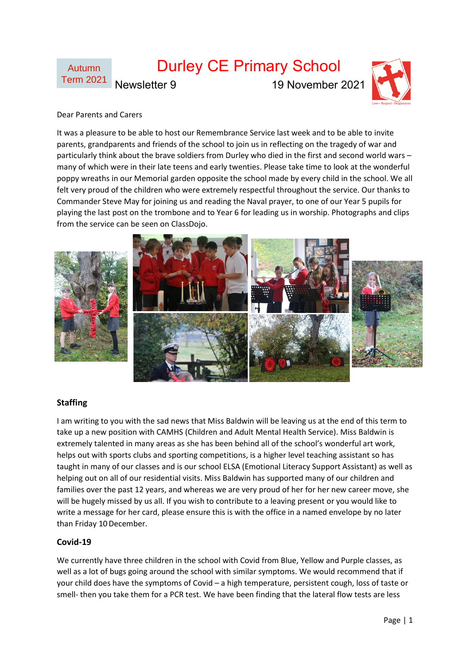

### Dear Parents and Carers

It was a pleasure to be able to host our Remembrance Service last week and to be able to invite parents, grandparents and friends of the school to join us in reflecting on the tragedy of war and particularly think about the brave soldiers from Durley who died in the first and second world wars – many of which were in their late teens and early twenties. Please take time to look at the wonderful poppy wreaths in our Memorial garden opposite the school made by every child in the school. We all felt very proud of the children who were extremely respectful throughout the service. Our thanks to Commander Steve May for joining us and reading the Naval prayer, to one of our Year 5 pupils for playing the last post on the trombone and to Year 6 for leading us in worship. Photographs and clips from the service can be seen on ClassDojo.



#### **Staffing**

I am writing to you with the sad news that Miss Baldwin will be leaving us at the end of this term to take up a new position with CAMHS (Children and Adult Mental Health Service). Miss Baldwin is extremely talented in many areas as she has been behind all of the school's wonderful art work, helps out with sports clubs and sporting competitions, is a higher level teaching assistant so has taught in many of our classes and is our school ELSA (Emotional Literacy Support Assistant) as well as helping out on all of our residential visits. Miss Baldwin has supported many of our children and families over the past 12 years, and whereas we are very proud of her for her new career move, she will be hugely missed by us all. If you wish to contribute to a leaving present or you would like to write a message for her card, please ensure this is with the office in a named envelope by no later than Friday 10 December.

### **Covid-19**

We currently have three children in the school with Covid from Blue, Yellow and Purple classes, as well as a lot of bugs going around the school with similar symptoms. We would recommend that if your child does have the symptoms of Covid – a high temperature, persistent cough, loss of taste or smell- then you take them for a PCR test. We have been finding that the lateral flow tests are less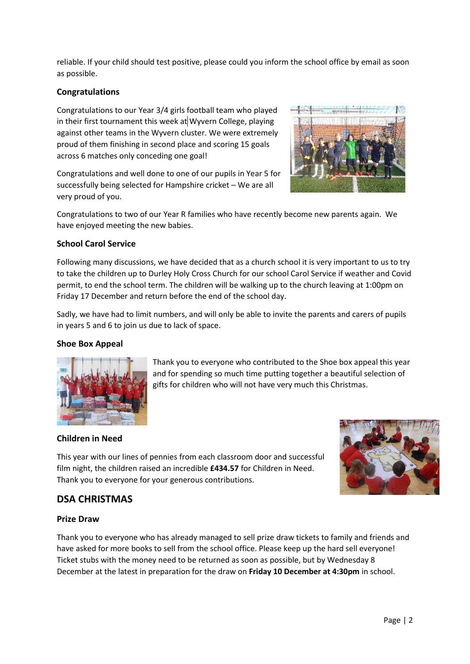reliable. If your child should test positive, please could you inform the school office by email as soon as possible.

# **Congratulations**

Congratulations to our Year 3/4 girls football team who played in their first tournament this week at Wyvern College, playing against other teams in the Wyvern cluster. We were extremely proud of them finishing in second place and scoring 15 goals across 6 matches only conceding one goal!

Congratulations and well done to one of our pupils in Year 5 for successfully being selected for Hampshire cricket – We are all very proud of you.



Congratulations to two of our Year R families who have recently become new parents again. We have enjoyed meeting the new babies.

# **School Carol Service**

Following many discussions, we have decided that as a church school it is very important to us to try to take the children up to Durley Holy Cross Church for our school Carol Service if weather and Covid permit, to end the school term. The children will be walking up to the church leaving at 1:00pm on Friday 17 December and return before the end of the school day.

Sadly, we have had to limit numbers, and will only be able to invite the parents and carers of pupils in years 5 and 6 to join us due to lack of space.

## **Shoe Box Appeal**



Thank you to everyone who contributed to the Shoe box appeal this year and for spending so much time putting together a beautiful selection of gifts for children who will not have very much this Christmas.

## **Children in Need**

This year with our lines of pennies from each classroom door and successful film night, the children raised an incredible **£434.57** for Children in Need. Thank you to everyone for your generous contributions.

# **DSA CHRISTMAS**

## **Prize Draw**

Thank you to everyone who has already managed to sell prize draw tickets to family and friends and have asked for more books to sell from the school office. Please keep up the hard sell everyone! Ticket stubs with the money need to be returned as soon as possible, but by Wednesday 8 December at the latest in preparation for the draw on **Friday 10 December at 4:30pm** in school.